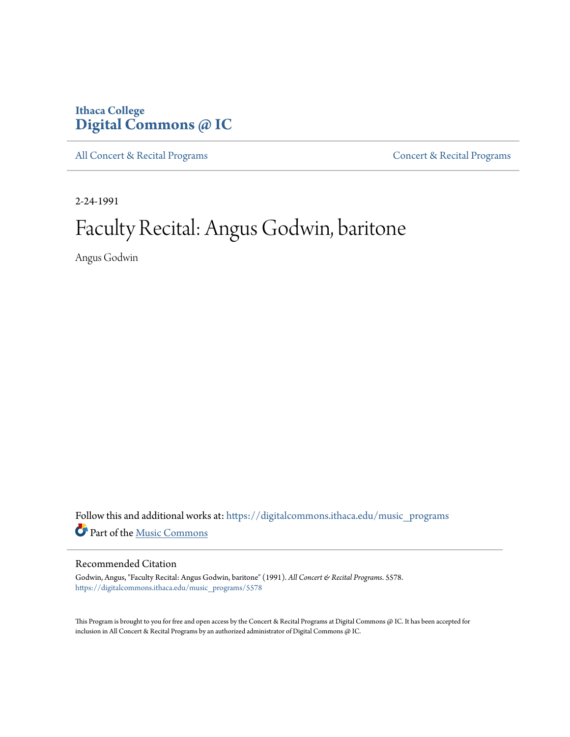# **Ithaca College [Digital Commons @ IC](https://digitalcommons.ithaca.edu?utm_source=digitalcommons.ithaca.edu%2Fmusic_programs%2F5578&utm_medium=PDF&utm_campaign=PDFCoverPages)**

[All Concert & Recital Programs](https://digitalcommons.ithaca.edu/music_programs?utm_source=digitalcommons.ithaca.edu%2Fmusic_programs%2F5578&utm_medium=PDF&utm_campaign=PDFCoverPages) **[Concert & Recital Programs](https://digitalcommons.ithaca.edu/som_programs?utm_source=digitalcommons.ithaca.edu%2Fmusic_programs%2F5578&utm_medium=PDF&utm_campaign=PDFCoverPages)** 

2-24-1991

# Faculty Recital: Angus Godwin, baritone

Angus Godwin

Follow this and additional works at: [https://digitalcommons.ithaca.edu/music\\_programs](https://digitalcommons.ithaca.edu/music_programs?utm_source=digitalcommons.ithaca.edu%2Fmusic_programs%2F5578&utm_medium=PDF&utm_campaign=PDFCoverPages) Part of the [Music Commons](http://network.bepress.com/hgg/discipline/518?utm_source=digitalcommons.ithaca.edu%2Fmusic_programs%2F5578&utm_medium=PDF&utm_campaign=PDFCoverPages)

## Recommended Citation

Godwin, Angus, "Faculty Recital: Angus Godwin, baritone" (1991). *All Concert & Recital Programs*. 5578. [https://digitalcommons.ithaca.edu/music\\_programs/5578](https://digitalcommons.ithaca.edu/music_programs/5578?utm_source=digitalcommons.ithaca.edu%2Fmusic_programs%2F5578&utm_medium=PDF&utm_campaign=PDFCoverPages)

This Program is brought to you for free and open access by the Concert & Recital Programs at Digital Commons @ IC. It has been accepted for inclusion in All Concert & Recital Programs by an authorized administrator of Digital Commons @ IC.